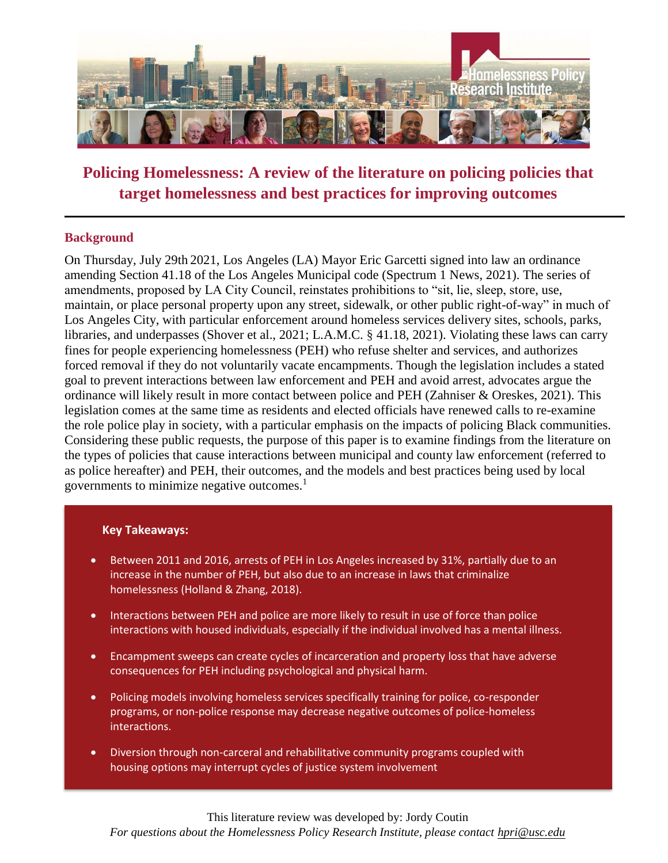

# **Policing Homelessness: A review of the literature on policing policies that target homelessness and best practices for improving outcomes**

## **Background**

On Thursday, July 29th 2021, Los Angeles (LA) Mayor Eric Garcetti signed into law an ordinance amending Section 41.18 of the Los Angeles Municipal code (Spectrum 1 News, 2021). The series of amendments, proposed by LA City Council, reinstates prohibitions to "sit, lie, sleep, store, use, maintain, or place personal property upon any street, sidewalk, or other public right-of-way" in much of Los Angeles City, with particular enforcement around homeless services delivery sites, schools, parks, libraries, and underpasses (Shover et al., 2021; L.A.M.C. § 41.18, 2021). Violating these laws can carry fines for people experiencing homelessness (PEH) who refuse shelter and services, and authorizes forced removal if they do not voluntarily vacate encampments. Though the legislation includes a stated goal to prevent interactions between law enforcement and PEH and avoid arrest, advocates argue the ordinance will likely result in more contact between police and PEH (Zahniser & Oreskes, 2021). This legislation comes at the same time as residents and elected officials have renewed calls to re-examine the role police play in society, with a particular emphasis on the impacts of policing Black communities. Considering these public requests, the purpose of this paper is to examine findings from the literature on the types of policies that cause interactions between municipal and county law enforcement (referred to as police hereafter) and PEH, their outcomes, and the models and best practices being used by local governments to minimize negative outcomes. $<sup>1</sup>$ </sup>

#### **Key Takeaways:**

- Between 2011 and 2016, arrests of PEH in Los Angeles increased by 31%, partially due to an increase in the number of PEH, but also due to an increase in laws that criminalize homelessness (Holland & Zhang, 2018).
- Interactions between PEH and police are more likely to result in use of force than police interactions with housed individuals, especially if the individual involved has a mental illness.
- Encampment sweeps can create cycles of incarceration and property loss that have adverse consequences for PEH including psychological and physical harm.
- Policing models involving homeless services specifically training for police, co-responder programs, or non-police response may decrease negative outcomes of police-homeless interactions.
- Diversion through non-carceral and rehabilitative community programs coupled with housing options may interrupt cycles of justice system involvement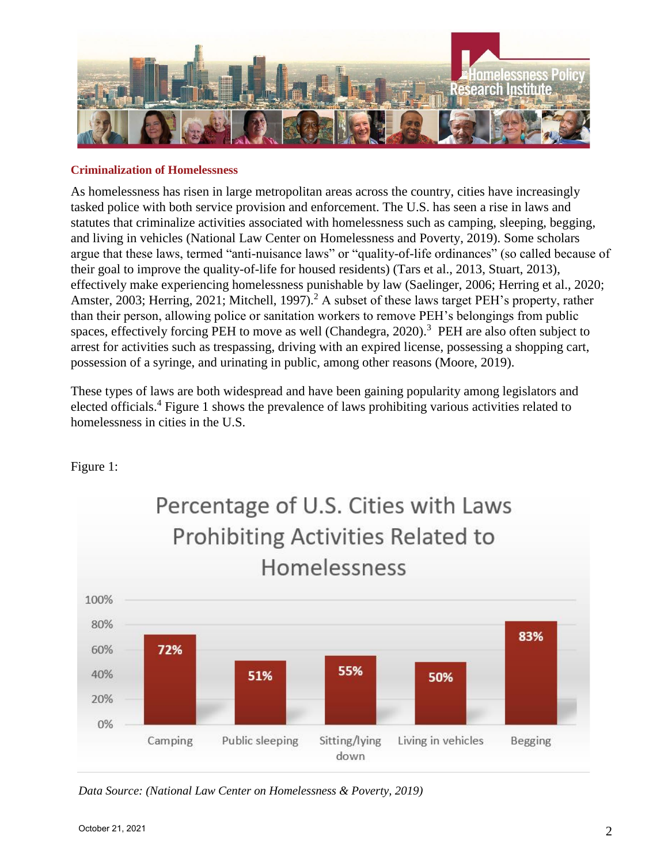

#### **Criminalization of Homelessness**

As homelessness has risen in large metropolitan areas across the country, cities have increasingly tasked police with both service provision and enforcement. The U.S. has seen a rise in laws and statutes that criminalize activities associated with homelessness such as camping, sleeping, begging, and living in vehicles (National Law Center on Homelessness and Poverty, 2019). Some scholars argue that these laws, termed "anti-nuisance laws" or "quality-of-life ordinances" (so called because of their goal to improve the quality-of-life for housed residents) (Tars et al., 2013, Stuart, 2013), effectively make experiencing homelessness punishable by law (Saelinger, 2006; Herring et al., 2020; Amster, 2003; Herring, 2021; Mitchell, 1997).<sup>2</sup> A subset of these laws target PEH's property, rather than their person, allowing police or sanitation workers to remove PEH's belongings from public spaces, effectively forcing PEH to move as well (Chandegra,  $2020$ ).<sup>3</sup> PEH are also often subject to arrest for activities such as trespassing, driving with an expired license, possessing a shopping cart, possession of a syringe, and urinating in public, among other reasons (Moore, 2019).

These types of laws are both widespread and have been gaining popularity among legislators and elected officials.<sup>4</sup> Figure 1 shows the prevalence of laws prohibiting various activities related to homelessness in cities in the U.S.

Figure 1:



*Data Source: (National Law Center on Homelessness & Poverty, 2019)*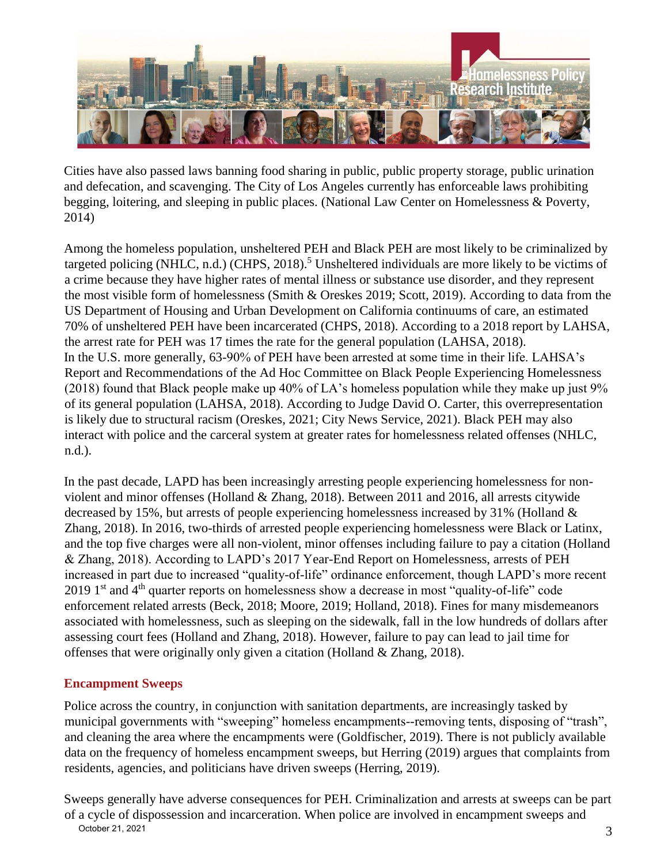

Cities have also passed laws banning food sharing in public, public property storage, public urination and defecation, and scavenging. The City of Los Angeles currently has enforceable laws prohibiting begging, loitering, and sleeping in public places. (National Law Center on Homelessness & Poverty, 2014)

Among the homeless population, unsheltered PEH and Black PEH are most likely to be criminalized by targeted policing (NHLC, n.d.) (CHPS, 2018).<sup>5</sup> Unsheltered individuals are more likely to be victims of a crime because they have higher rates of mental illness or substance use disorder, and they represent the most visible form of homelessness (Smith & Oreskes 2019; Scott, 2019). According to data from the US Department of Housing and Urban Development on California continuums of care, an estimated 70% of unsheltered PEH have been incarcerated (CHPS, 2018). According to a 2018 report by LAHSA, the arrest rate for PEH was 17 times the rate for the general population (LAHSA, 2018). In the U.S. more generally, 63-90% of PEH have been arrested at some time in their life. LAHSA's Report and Recommendations of the Ad Hoc Committee on Black People Experiencing Homelessness (2018) found that Black people make up 40% of LA's homeless population while they make up just 9% of its general population (LAHSA, 2018). According to Judge David O. Carter, this overrepresentation is likely due to structural racism (Oreskes, 2021; City News Service, 2021). Black PEH may also interact with police and the carceral system at greater rates for homelessness related offenses (NHLC, n.d.).

In the past decade, LAPD has been increasingly arresting people experiencing homelessness for nonviolent and minor offenses (Holland & Zhang, 2018). Between 2011 and 2016, all arrests citywide decreased by 15%, but arrests of people experiencing homelessness increased by 31% (Holland & Zhang, 2018). In 2016, two-thirds of arrested people experiencing homelessness were Black or Latinx, and the top five charges were all non-violent, minor offenses including failure to pay a citation (Holland & Zhang, 2018). According to LAPD's 2017 Year-End Report on Homelessness, arrests of PEH increased in part due to increased "quality-of-life" ordinance enforcement, though LAPD's more recent 2019 1<sup>st</sup> and  $4<sup>th</sup>$  quarter reports on homelessness show a decrease in most "quality-of-life" code enforcement related arrests (Beck, 2018; Moore, 2019; Holland, 2018). Fines for many misdemeanors associated with homelessness, such as sleeping on the sidewalk, fall in the low hundreds of dollars after assessing court fees (Holland and Zhang, 2018). However, failure to pay can lead to jail time for offenses that were originally only given a citation (Holland & Zhang, 2018).

## **Encampment Sweeps**

Police across the country, in conjunction with sanitation departments, are increasingly tasked by municipal governments with "sweeping" homeless encampments--removing tents, disposing of "trash", and cleaning the area where the encampments were (Goldfischer, 2019). There is not publicly available data on the frequency of homeless encampment sweeps, but Herring (2019) argues that complaints from residents, agencies, and politicians have driven sweeps (Herring, 2019).

3 Sweeps generally have adverse consequences for PEH. Criminalization and arrests at sweeps can be part of a cycle of dispossession and incarceration. When police are involved in encampment sweeps and October 21, 2021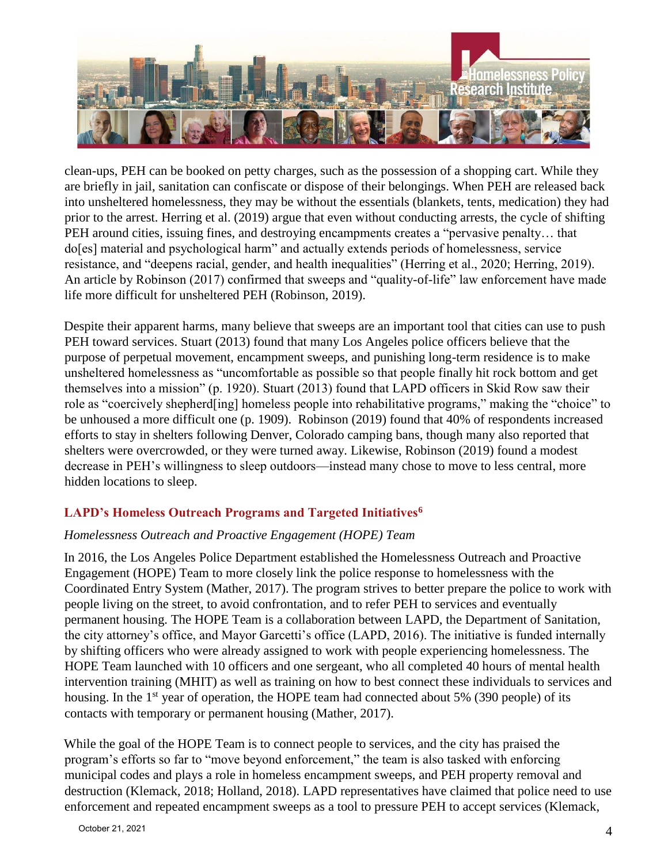

clean-ups, PEH can be booked on petty charges, such as the possession of a shopping cart. While they are briefly in jail, sanitation can confiscate or dispose of their belongings. When PEH are released back into unsheltered homelessness, they may be without the essentials (blankets, tents, medication) they had prior to the arrest. Herring et al. (2019) argue that even without conducting arrests, the cycle of shifting PEH around cities, issuing fines, and destroying encampments creates a "pervasive penalty… that do[es] material and psychological harm" and actually extends periods of homelessness, service resistance, and "deepens racial, gender, and health inequalities" (Herring et al., 2020; Herring, 2019). An article by Robinson (2017) confirmed that sweeps and "quality-of-life" law enforcement have made life more difficult for unsheltered PEH (Robinson, 2019).

Despite their apparent harms, many believe that sweeps are an important tool that cities can use to push PEH toward services. Stuart (2013) found that many Los Angeles police officers believe that the purpose of perpetual movement, encampment sweeps, and punishing long-term residence is to make unsheltered homelessness as "uncomfortable as possible so that people finally hit rock bottom and get themselves into a mission" (p. 1920). Stuart (2013) found that LAPD officers in Skid Row saw their role as "coercively shepherd[ing] homeless people into rehabilitative programs," making the "choice" to be unhoused a more difficult one (p. 1909). Robinson (2019) found that 40% of respondents increased efforts to stay in shelters following Denver, Colorado camping bans, though many also reported that shelters were overcrowded, or they were turned away. Likewise, Robinson (2019) found a modest decrease in PEH's willingness to sleep outdoors—instead many chose to move to less central, more hidden locations to sleep.

# **LAPD's Homeless Outreach Programs and Targeted Initiatives<sup>6</sup>**

## *Homelessness Outreach and Proactive Engagement (HOPE) Team*

In 2016, the Los Angeles Police Department established the Homelessness Outreach and Proactive Engagement (HOPE) Team to more closely link the police response to homelessness with the Coordinated Entry System (Mather, 2017). The program strives to better prepare the police to work with people living on the street, to avoid confrontation, and to refer PEH to services and eventually permanent housing. The HOPE Team is a collaboration between LAPD, the Department of Sanitation, the city attorney's office, and Mayor Garcetti's office (LAPD, 2016). The initiative is funded internally by shifting officers who were already assigned to work with people experiencing homelessness. The HOPE Team launched with 10 officers and one sergeant, who all completed 40 hours of mental health intervention training (MHIT) as well as training on how to best connect these individuals to services and housing. In the  $1<sup>st</sup>$  year of operation, the HOPE team had connected about 5% (390 people) of its contacts with temporary or permanent housing (Mather, 2017).

While the goal of the HOPE Team is to connect people to services, and the city has praised the program's efforts so far to "move beyond enforcement," the team is also tasked with enforcing municipal codes and plays a role in homeless encampment sweeps, and PEH property removal and destruction (Klemack, 2018; Holland, 2018). LAPD representatives have claimed that police need to use enforcement and repeated encampment sweeps as a tool to pressure PEH to accept services (Klemack,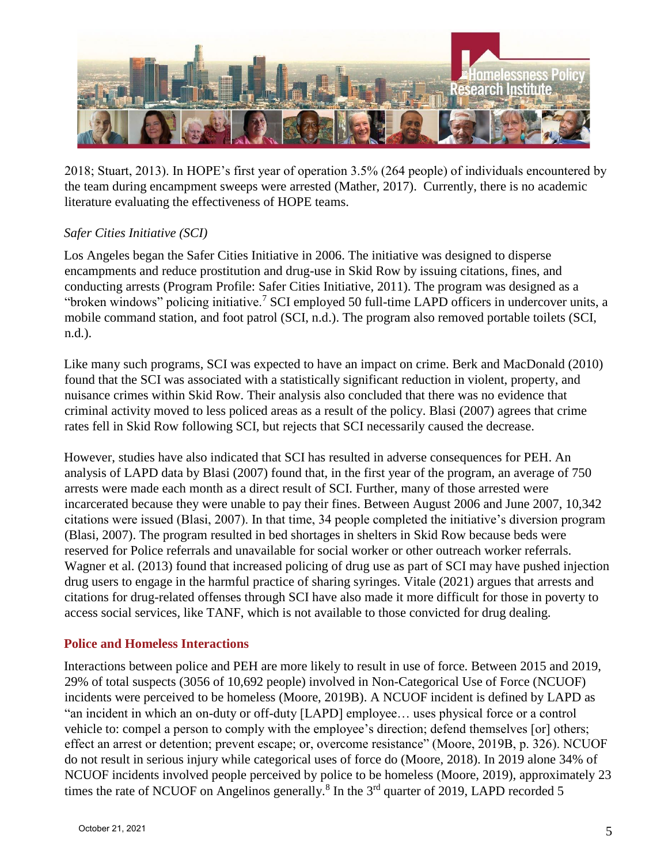

2018; Stuart, 2013). In HOPE's first year of operation 3.5% (264 people) of individuals encountered by the team during encampment sweeps were arrested (Mather, 2017). Currently, there is no academic literature evaluating the effectiveness of HOPE teams.

## *Safer Cities Initiative (SCI)*

Los Angeles began the Safer Cities Initiative in 2006. The initiative was designed to disperse encampments and reduce prostitution and drug-use in Skid Row by issuing citations, fines, and conducting arrests (Program Profile: Safer Cities Initiative, 2011). The program was designed as a "broken windows" policing initiative.<sup>7</sup> SCI employed 50 full-time LAPD officers in undercover units, a mobile command station, and foot patrol (SCI, n.d.). The program also removed portable toilets (SCI, n.d.).

Like many such programs, SCI was expected to have an impact on crime. Berk and MacDonald (2010) found that the SCI was associated with a statistically significant reduction in violent, property, and nuisance crimes within Skid Row. Their analysis also concluded that there was no evidence that criminal activity moved to less policed areas as a result of the policy. Blasi (2007) agrees that crime rates fell in Skid Row following SCI, but rejects that SCI necessarily caused the decrease.

However, studies have also indicated that SCI has resulted in adverse consequences for PEH. An analysis of LAPD data by Blasi (2007) found that, in the first year of the program, an average of 750 arrests were made each month as a direct result of SCI. Further, many of those arrested were incarcerated because they were unable to pay their fines. Between August 2006 and June 2007, 10,342 citations were issued (Blasi, 2007). In that time, 34 people completed the initiative's diversion program (Blasi, 2007). The program resulted in bed shortages in shelters in Skid Row because beds were reserved for Police referrals and unavailable for social worker or other outreach worker referrals. Wagner et al. (2013) found that increased policing of drug use as part of SCI may have pushed injection drug users to engage in the harmful practice of sharing syringes. Vitale (2021) argues that arrests and citations for drug-related offenses through SCI have also made it more difficult for those in poverty to access social services, like TANF, which is not available to those convicted for drug dealing.

## **Police and Homeless Interactions**

Interactions between police and PEH are more likely to result in use of force. Between 2015 and 2019, 29% of total suspects (3056 of 10,692 people) involved in Non-Categorical Use of Force (NCUOF) incidents were perceived to be homeless (Moore, 2019B). A NCUOF incident is defined by LAPD as "an incident in which an on-duty or off-duty [LAPD] employee… uses physical force or a control vehicle to: compel a person to comply with the employee's direction; defend themselves [or] others; effect an arrest or detention; prevent escape; or, overcome resistance" (Moore, 2019B, p. 326). NCUOF do not result in serious injury while categorical uses of force do (Moore, 2018). In 2019 alone 34% of NCUOF incidents involved people perceived by police to be homeless (Moore, 2019), approximately 23 times the rate of NCUOF on Angelinos generally.<sup>8</sup> In the  $3<sup>rd</sup>$  quarter of 2019, LAPD recorded 5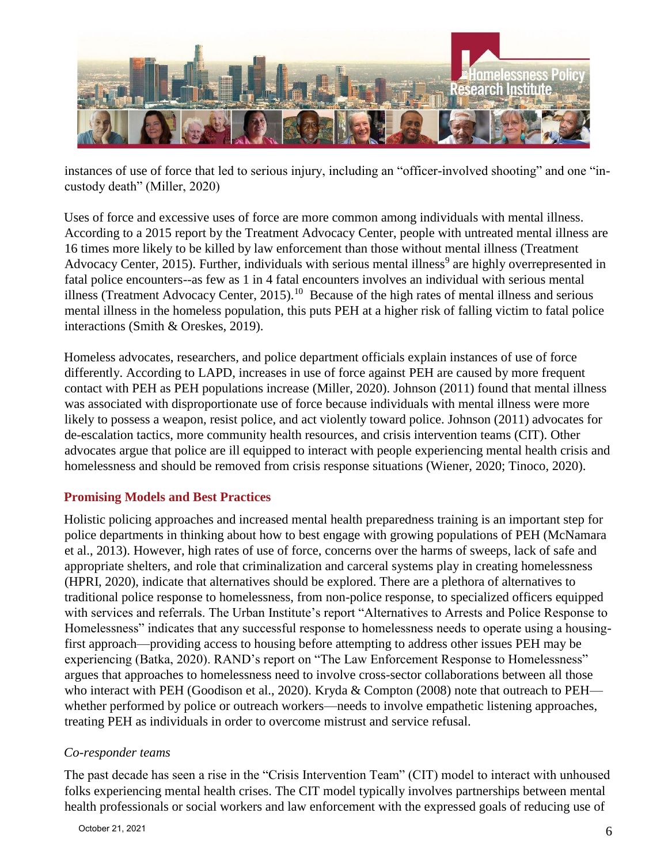

instances of use of force that led to serious injury, including an "officer-involved shooting" and one "incustody death" (Miller, 2020)

Uses of force and excessive uses of force are more common among individuals with mental illness. According to a 2015 report by the Treatment Advocacy Center, people with untreated mental illness are 16 times more likely to be killed by law enforcement than those without mental illness (Treatment Advocacy Center, 2015). Further, individuals with serious mental illness<sup>9</sup> are highly overrepresented in fatal police encounters--as few as 1 in 4 fatal encounters involves an individual with serious mental illness (Treatment Advocacy Center, 2015).<sup>10</sup> Because of the high rates of mental illness and serious mental illness in the homeless population, this puts PEH at a higher risk of falling victim to fatal police interactions (Smith & Oreskes, 2019).

Homeless advocates, researchers, and police department officials explain instances of use of force differently. According to LAPD, increases in use of force against PEH are caused by more frequent contact with PEH as PEH populations increase (Miller, 2020). Johnson (2011) found that mental illness was associated with disproportionate use of force because individuals with mental illness were more likely to possess a weapon, resist police, and act violently toward police. Johnson (2011) advocates for de-escalation tactics, more community health resources, and crisis intervention teams (CIT). Other advocates argue that police are ill equipped to interact with people experiencing mental health crisis and homelessness and should be removed from crisis response situations (Wiener, 2020; Tinoco, 2020).

# **Promising Models and Best Practices**

Holistic policing approaches and increased mental health preparedness training is an important step for police departments in thinking about how to best engage with growing populations of PEH (McNamara et al., 2013). However, high rates of use of force, concerns over the harms of sweeps, lack of safe and appropriate shelters, and role that criminalization and carceral systems play in creating homelessness (HPRI, 2020), indicate that alternatives should be explored. There are a plethora of alternatives to traditional police response to homelessness, from non-police response, to specialized officers equipped with services and referrals. The Urban Institute's report "Alternatives to Arrests and Police Response to Homelessness" indicates that any successful response to homelessness needs to operate using a housingfirst approach—providing access to housing before attempting to address other issues PEH may be experiencing (Batka, 2020). RAND's report on "The Law Enforcement Response to Homelessness" argues that approaches to homelessness need to involve cross-sector collaborations between all those who interact with PEH (Goodison et al., 2020). Kryda & Compton (2008) note that outreach to PEH whether performed by police or outreach workers—needs to involve empathetic listening approaches, treating PEH as individuals in order to overcome mistrust and service refusal.

## *Co-responder teams*

The past decade has seen a rise in the "Crisis Intervention Team" (CIT) model to interact with unhoused folks experiencing mental health crises. The CIT model typically involves partnerships between mental health professionals or social workers and law enforcement with the expressed goals of reducing use of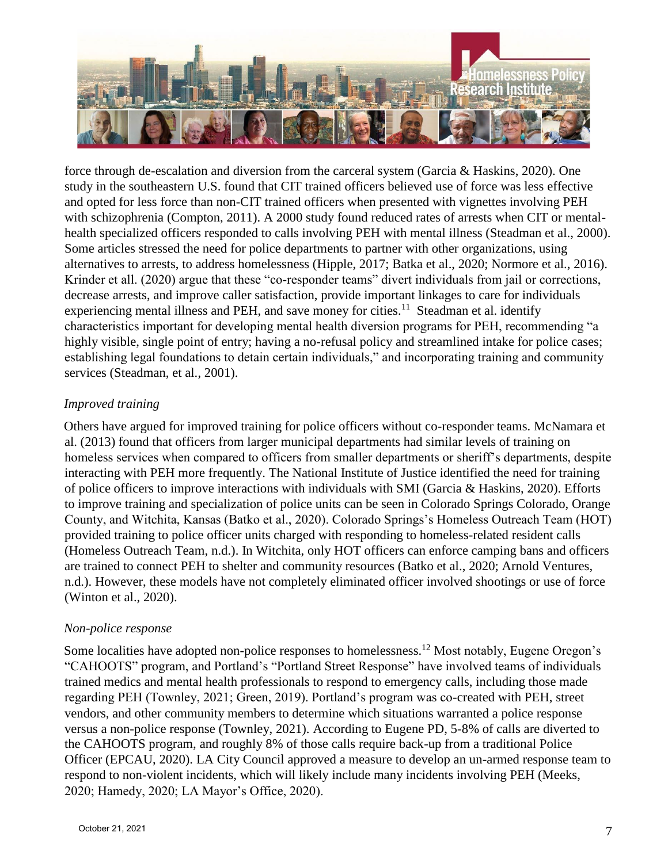

force through de-escalation and diversion from the carceral system (Garcia & Haskins, 2020). One study in the southeastern U.S. found that CIT trained officers believed use of force was less effective and opted for less force than non-CIT trained officers when presented with vignettes involving PEH with schizophrenia (Compton, 2011). A 2000 study found reduced rates of arrests when CIT or mentalhealth specialized officers responded to calls involving PEH with mental illness (Steadman et al., 2000). Some articles stressed the need for police departments to partner with other organizations, using alternatives to arrests, to address homelessness (Hipple, 2017; Batka et al., 2020; Normore et al., 2016). Krinder et all. (2020) argue that these "co-responder teams" divert individuals from jail or corrections, decrease arrests, and improve caller satisfaction, provide important linkages to care for individuals experiencing mental illness and PEH, and save money for cities.<sup>11</sup> Steadman et al. identify characteristics important for developing mental health diversion programs for PEH, recommending "a highly visible, single point of entry; having a no-refusal policy and streamlined intake for police cases; establishing legal foundations to detain certain individuals," and incorporating training and community services (Steadman, et al., 2001).

## *Improved training*

Others have argued for improved training for police officers without co-responder teams. McNamara et al. (2013) found that officers from larger municipal departments had similar levels of training on homeless services when compared to officers from smaller departments or sheriff's departments, despite interacting with PEH more frequently. The National Institute of Justice identified the need for training of police officers to improve interactions with individuals with SMI (Garcia & Haskins, 2020). Efforts to improve training and specialization of police units can be seen in Colorado Springs Colorado, Orange County, and Witchita, Kansas (Batko et al., 2020). Colorado Springs's Homeless Outreach Team (HOT) provided training to police officer units charged with responding to homeless-related resident calls (Homeless Outreach Team, n.d.). In Witchita, only HOT officers can enforce camping bans and officers are trained to connect PEH to shelter and community resources (Batko et al., 2020; Arnold Ventures, n.d.). However, these models have not completely eliminated officer involved shootings or use of force (Winton et al., 2020).

## *Non-police response*

Some localities have adopted non-police responses to homelessness.<sup>12</sup> Most notably, Eugene Oregon's "CAHOOTS" program, and Portland's "Portland Street Response" have involved teams of individuals trained medics and mental health professionals to respond to emergency calls, including those made regarding PEH (Townley, 2021; Green, 2019). Portland's program was co-created with PEH, street vendors, and other community members to determine which situations warranted a police response versus a non-police response (Townley, 2021). According to Eugene PD, 5-8% of calls are diverted to the CAHOOTS program, and roughly 8% of those calls require back-up from a traditional Police Officer (EPCAU, 2020). LA City Council approved a measure to develop an un-armed response team to respond to non-violent incidents, which will likely include many incidents involving PEH (Meeks, 2020; Hamedy, 2020; LA Mayor's Office, 2020).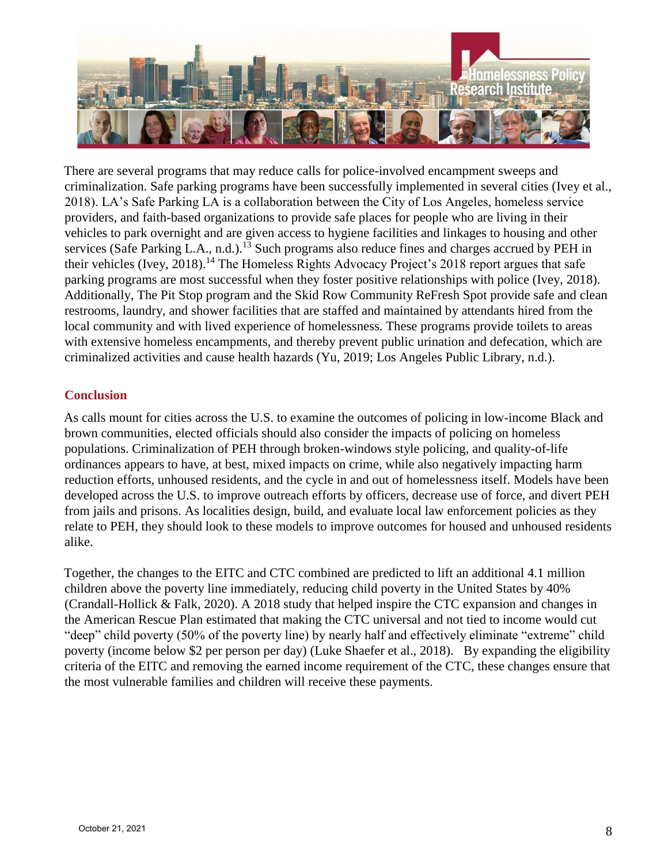

There are several programs that may reduce calls for police-involved encampment sweeps and criminalization. Safe parking programs have been successfully implemented in several cities (Ivey et al., 2018). LA's Safe Parking LA is a collaboration between the City of Los Angeles, homeless service providers, and faith-based organizations to provide safe places for people who are living in their vehicles to park overnight and are given access to hygiene facilities and linkages to housing and other services (Safe Parking L.A., n.d.).<sup>13</sup> Such programs also reduce fines and charges accrued by PEH in their vehicles (Ivey, 2018).<sup>14</sup> The Homeless Rights Advocacy Project's 2018 report argues that safe parking programs are most successful when they foster positive relationships with police (Ivey, 2018). Additionally, The Pit Stop program and the Skid Row Community ReFresh Spot provide safe and clean restrooms, laundry, and shower facilities that are staffed and maintained by attendants hired from the local community and with lived experience of homelessness. These programs provide toilets to areas with extensive homeless encampments, and thereby prevent public urination and defecation, which are criminalized activities and cause health hazards (Yu, 2019; Los Angeles Public Library, n.d.).

## **Conclusion**

As calls mount for cities across the U.S. to examine the outcomes of policing in low-income Black and brown communities, elected officials should also consider the impacts of policing on homeless populations. Criminalization of PEH through broken-windows style policing, and quality-of-life ordinances appears to have, at best, mixed impacts on crime, while also negatively impacting harm reduction efforts, unhoused residents, and the cycle in and out of homelessness itself. Models have been developed across the U.S. to improve outreach efforts by officers, decrease use of force, and divert PEH from jails and prisons. As localities design, build, and evaluate local law enforcement policies as they relate to PEH, they should look to these models to improve outcomes for housed and unhoused residents alike.

Together, the changes to the EITC and CTC combined are predicted to lift an additional 4.1 million children above the poverty line immediately, reducing child poverty in the United States by 40% (Crandall-Hollick & Falk, 2020). A 2018 study that helped inspire the CTC expansion and changes in the American Rescue Plan estimated that making the CTC universal and not tied to income would cut "deep" child poverty (50% of the poverty line) by nearly half and effectively eliminate "extreme" child poverty (income below \$2 per person per day) (Luke Shaefer et al., 2018). By expanding the eligibility criteria of the EITC and removing the earned income requirement of the CTC, these changes ensure that the most vulnerable families and children will receive these payments.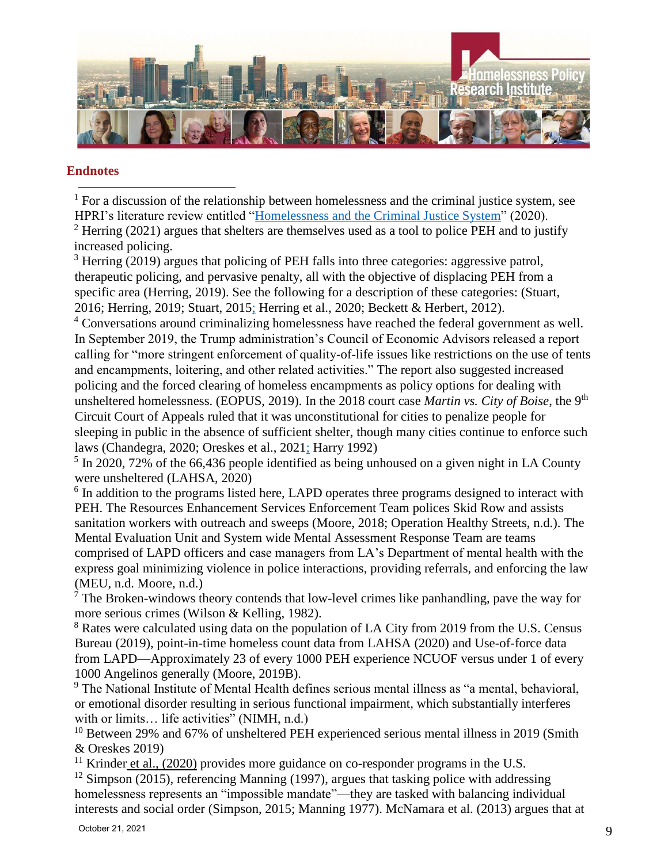

#### **Endnotes**

 $1$  For a discussion of the relationship between homelessness and the criminal justice system, see HPRI's literature review entitled ["Homelessness and the Criminal Justice System"](https://socialinnovation.usc.edu/homeless_research/homelessness-and-the-criminal-justice-system/) (2020). <sup>2</sup> Herring (2021) argues that shelters are themselves used as a tool to police PEH and to justify increased policing.  $\overline{\phantom{a}}$ 

 $3$  Herring (2019) argues that policing of PEH falls into three categories: aggressive patrol, therapeutic policing, and pervasive penalty, all with the objective of displacing PEH from a specific area (Herring, 2019). See the following for a description of these categories: (Stuart, 2016; Herring, 2019; Stuart, 2015; Herring et al., 2020; Beckett & Herbert, 2012).

<sup>4</sup> Conversations around criminalizing homelessness have reached the federal government as well. In September 2019, the Trump administration's Council of Economic Advisors released a report calling for "more stringent enforcement of quality-of-life issues like restrictions on the use of tents and encampments, loitering, and other related activities." The report also suggested increased policing and the forced clearing of homeless encampments as policy options for dealing with unsheltered homelessness. (EOPUS, 2019). In the 2018 court case *Martin vs. City of Boise*, the 9th Circuit Court of Appeals ruled that it was unconstitutional for cities to penalize people for sleeping in public in the absence of sufficient shelter, though many cities continue to enforce such laws (Chandegra, 2020; Oreskes et al., 2021; Harry 1992)

 $<sup>5</sup>$  In 2020, 72% of the 66,436 people identified as being unhoused on a given night in LA County</sup> were unsheltered (LAHSA, 2020)

<sup>6</sup> In addition to the programs listed here, LAPD operates three programs designed to interact with PEH. The Resources Enhancement Services Enforcement Team polices Skid Row and assists sanitation workers with outreach and sweeps (Moore, 2018; Operation Healthy Streets, n.d.). The Mental Evaluation Unit and System wide Mental Assessment Response Team are teams comprised of LAPD officers and case managers from LA's Department of mental health with the express goal minimizing violence in police interactions, providing referrals, and enforcing the law (MEU, n.d. Moore, n.d.)

 $<sup>7</sup>$  The Broken-windows theory contends that low-level crimes like panhandling, pave the way for</sup> more serious crimes (Wilson & Kelling, 1982).

<sup>8</sup> Rates were calculated using data on the population of LA City from 2019 from the U.S. Census Bureau (2019), point-in-time homeless count data from LAHSA (2020) and Use-of-force data from LAPD—Approximately 23 of every 1000 PEH experience NCUOF versus under 1 of every 1000 Angelinos generally (Moore, 2019B).

<sup>9</sup> The National Institute of Mental Health defines serious mental illness as "a mental, behavioral, or emotional disorder resulting in serious functional impairment, which substantially interferes with or limits... life activities" (NIMH, n.d.)

<sup>10</sup> Between 29% and 67% of unsheltered PEH experienced serious mental illness in 2019 (Smith & Oreskes 2019)

<sup>11</sup> Krinder et al., (2020) provides more guidance on co-responder programs in the U.S.

 $12$  Simpson (2015), referencing Manning (1997), argues that tasking police with addressing homelessness represents an "impossible mandate"—they are tasked with balancing individual interests and social order (Simpson, 2015; Manning 1977). McNamara et al. (2013) argues that at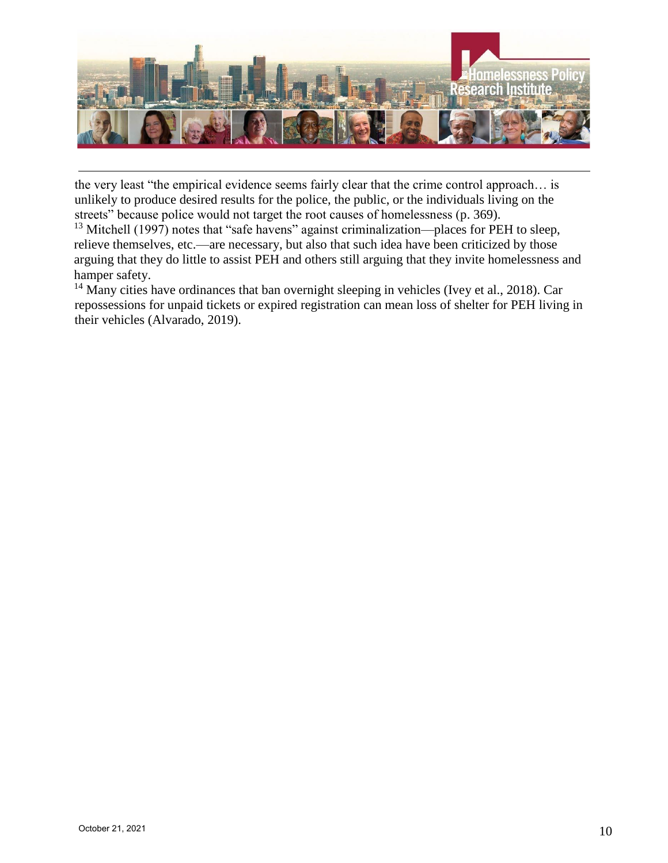

the very least "the empirical evidence seems fairly clear that the crime control approach… is unlikely to produce desired results for the police, the public, or the individuals living on the streets" because police would not target the root causes of homelessness (p. 369).

 $13$  Mitchell (1997) notes that "safe havens" against criminalization—places for PEH to sleep, relieve themselves, etc.—are necessary, but also that such idea have been criticized by those arguing that they do little to assist PEH and others still arguing that they invite homelessness and hamper safety.

 $14$  Many cities have ordinances that ban overnight sleeping in vehicles (Ivey et al., 2018). Car repossessions for unpaid tickets or expired registration can mean loss of shelter for PEH living in their vehicles (Alvarado, 2019).

 $\overline{\phantom{a}}$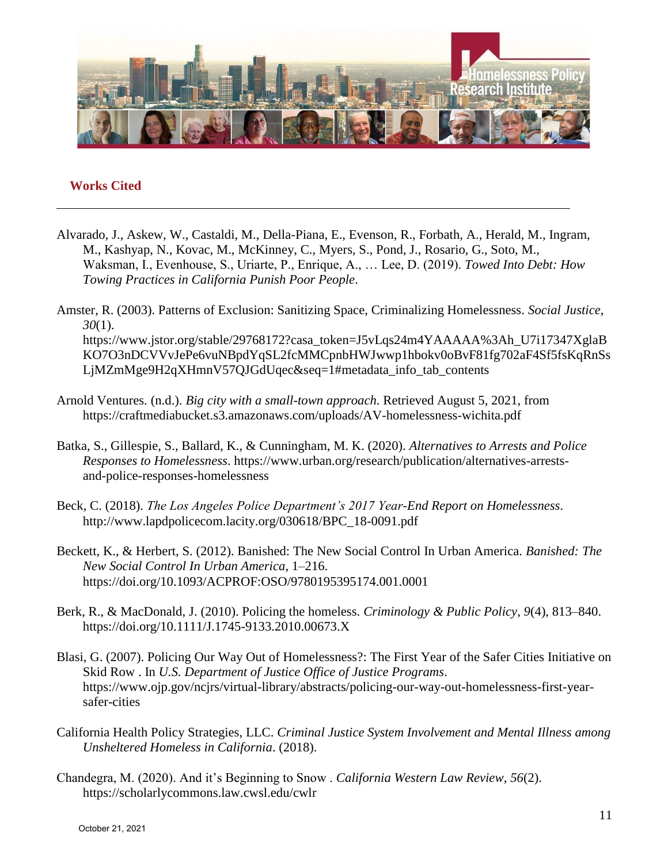

#### **Works Cited**

- Alvarado, J., Askew, W., Castaldi, M., Della-Piana, E., Evenson, R., Forbath, A., Herald, M., Ingram, M., Kashyap, N., Kovac, M., McKinney, C., Myers, S., Pond, J., Rosario, G., Soto, M., Waksman, I., Evenhouse, S., Uriarte, P., Enrique, A., … Lee, D. (2019). *Towed Into Debt: How Towing Practices in California Punish Poor People*.
- Amster, R. (2003). Patterns of Exclusion: Sanitizing Space, Criminalizing Homelessness. *Social Justice*, *30*(1). https://www.jstor.org/stable/29768172?casa\_token=J5vLqs24m4YAAAAA%3Ah\_U7i17347XglaB KO7O3nDCVVvJePe6vuNBpdYqSL2fcMMCpnbHWJwwp1hbokv0oBvF81fg702aF4Sf5fsKqRnSs LjMZmMge9H2qXHmnV57QJGdUqec&seq=1#metadata\_info\_tab\_contents
- Arnold Ventures. (n.d.). *Big city with a small-town approach*. Retrieved August 5, 2021, from https://craftmediabucket.s3.amazonaws.com/uploads/AV-homelessness-wichita.pdf
- Batka, S., Gillespie, S., Ballard, K., & Cunningham, M. K. (2020). *Alternatives to Arrests and Police Responses to Homelessness*. https://www.urban.org/research/publication/alternatives-arrestsand-police-responses-homelessness
- Beck, C. (2018). *The Los Angeles Police Department's 2017 Year-End Report on Homelessness*. http://www.lapdpolicecom.lacity.org/030618/BPC\_18-0091.pdf
- Beckett, K., & Herbert, S. (2012). Banished: The New Social Control In Urban America. *Banished: The New Social Control In Urban America*, 1–216. https://doi.org/10.1093/ACPROF:OSO/9780195395174.001.0001
- Berk, R., & MacDonald, J. (2010). Policing the homeless. *Criminology & Public Policy*, *9*(4), 813–840. https://doi.org/10.1111/J.1745-9133.2010.00673.X
- Blasi, G. (2007). Policing Our Way Out of Homelessness?: The First Year of the Safer Cities Initiative on Skid Row . In *U.S. Department of Justice Office of Justice Programs*. https://www.ojp.gov/ncjrs/virtual-library/abstracts/policing-our-way-out-homelessness-first-yearsafer-cities
- California Health Policy Strategies, LLC. *Criminal Justice System Involvement and Mental Illness among Unsheltered Homeless in California*. (2018).
- Chandegra, M. (2020). And it's Beginning to Snow . *California Western Law Review*, *56*(2). https://scholarlycommons.law.cwsl.edu/cwlr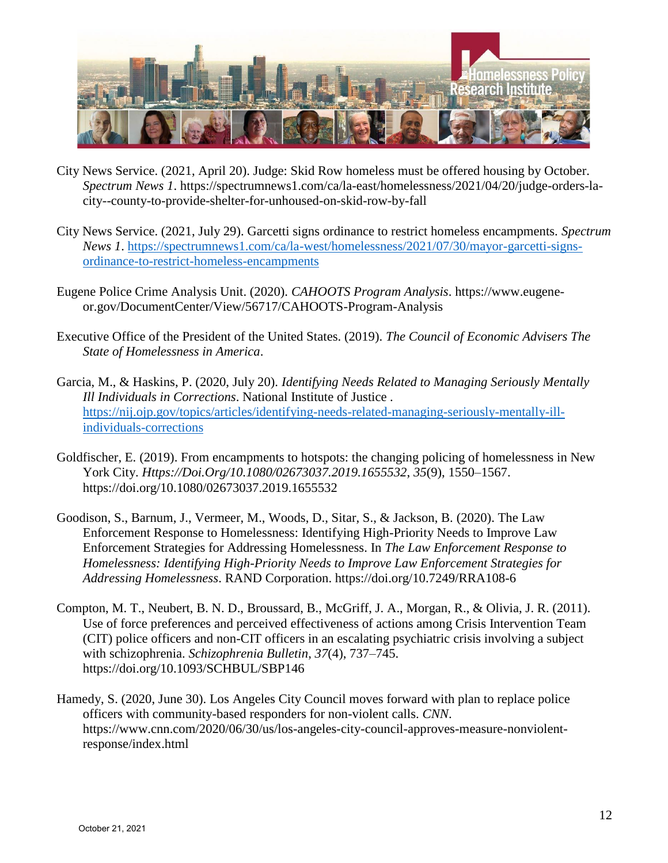

- City News Service. (2021, April 20). Judge: Skid Row homeless must be offered housing by October. *Spectrum News 1*. https://spectrumnews1.com/ca/la-east/homelessness/2021/04/20/judge-orders-lacity--county-to-provide-shelter-for-unhoused-on-skid-row-by-fall
- City News Service. (2021, July 29). Garcetti signs ordinance to restrict homeless encampments. *Spectrum News 1*. [https://spectrumnews1.com/ca/la-west/homelessness/2021/07/30/mayor-garcetti-signs](https://spectrumnews1.com/ca/la-west/homelessness/2021/07/30/mayor-garcetti-signs-ordinance-to-restrict-homeless-encampments)[ordinance-to-restrict-homeless-encampments](https://spectrumnews1.com/ca/la-west/homelessness/2021/07/30/mayor-garcetti-signs-ordinance-to-restrict-homeless-encampments)
- Eugene Police Crime Analysis Unit. (2020). *CAHOOTS Program Analysis*. https://www.eugeneor.gov/DocumentCenter/View/56717/CAHOOTS-Program-Analysis
- Executive Office of the President of the United States. (2019). *The Council of Economic Advisers The State of Homelessness in America*.
- Garcia, M., & Haskins, P. (2020, July 20). *Identifying Needs Related to Managing Seriously Mentally Ill Individuals in Corrections*. National Institute of Justice . [https://nij.ojp.gov/topics/articles/identifying-needs-related-managing-seriously-mentally-ill](https://nij.ojp.gov/topics/articles/identifying-needs-related-managing-seriously-mentally-ill-individuals-corrections)[individuals-corrections](https://nij.ojp.gov/topics/articles/identifying-needs-related-managing-seriously-mentally-ill-individuals-corrections)
- Goldfischer, E. (2019). From encampments to hotspots: the changing policing of homelessness in New York City. *Https://Doi.Org/10.1080/02673037.2019.1655532*, *35*(9), 1550–1567. https://doi.org/10.1080/02673037.2019.1655532
- Goodison, S., Barnum, J., Vermeer, M., Woods, D., Sitar, S., & Jackson, B. (2020). The Law Enforcement Response to Homelessness: Identifying High-Priority Needs to Improve Law Enforcement Strategies for Addressing Homelessness. In *The Law Enforcement Response to Homelessness: Identifying High-Priority Needs to Improve Law Enforcement Strategies for Addressing Homelessness*. RAND Corporation. https://doi.org/10.7249/RRA108-6
- Compton, M. T., Neubert, B. N. D., Broussard, B., McGriff, J. A., Morgan, R., & Olivia, J. R. (2011). Use of force preferences and perceived effectiveness of actions among Crisis Intervention Team (CIT) police officers and non-CIT officers in an escalating psychiatric crisis involving a subject with schizophrenia. *Schizophrenia Bulletin*, *37*(4), 737–745. https://doi.org/10.1093/SCHBUL/SBP146
- Hamedy, S. (2020, June 30). Los Angeles City Council moves forward with plan to replace police officers with community-based responders for non-violent calls. *CNN*. https://www.cnn.com/2020/06/30/us/los-angeles-city-council-approves-measure-nonviolentresponse/index.html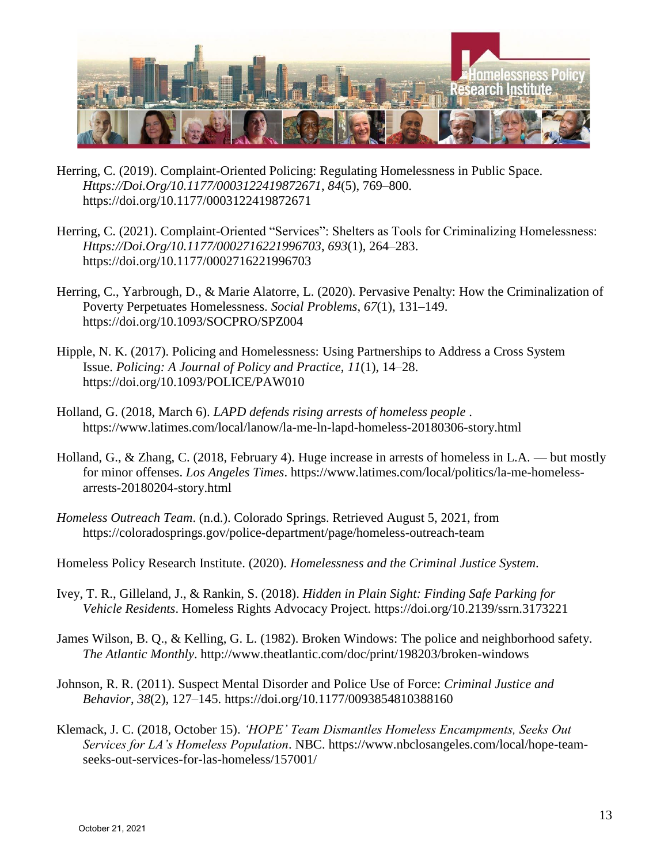

Herring, C. (2019). Complaint-Oriented Policing: Regulating Homelessness in Public Space. *Https://Doi.Org/10.1177/0003122419872671*, *84*(5), 769–800. https://doi.org/10.1177/0003122419872671

- Herring, C. (2021). Complaint-Oriented "Services": Shelters as Tools for Criminalizing Homelessness: *Https://Doi.Org/10.1177/0002716221996703*, *693*(1), 264–283. https://doi.org/10.1177/0002716221996703
- Herring, C., Yarbrough, D., & Marie Alatorre, L. (2020). Pervasive Penalty: How the Criminalization of Poverty Perpetuates Homelessness. *Social Problems*, *67*(1), 131–149. https://doi.org/10.1093/SOCPRO/SPZ004
- Hipple, N. K. (2017). Policing and Homelessness: Using Partnerships to Address a Cross System Issue. *Policing: A Journal of Policy and Practice*, *11*(1), 14–28. https://doi.org/10.1093/POLICE/PAW010
- Holland, G. (2018, March 6). *LAPD defends rising arrests of homeless people* . https://www.latimes.com/local/lanow/la-me-ln-lapd-homeless-20180306-story.html
- Holland, G., & Zhang, C. (2018, February 4). Huge increase in arrests of homeless in L.A. but mostly for minor offenses. *Los Angeles Times*. https://www.latimes.com/local/politics/la-me-homelessarrests-20180204-story.html
- *Homeless Outreach Team*. (n.d.). Colorado Springs. Retrieved August 5, 2021, from https://coloradosprings.gov/police-department/page/homeless-outreach-team

Homeless Policy Research Institute. (2020). *Homelessness and the Criminal Justice System*.

- Ivey, T. R., Gilleland, J., & Rankin, S. (2018). *Hidden in Plain Sight: Finding Safe Parking for Vehicle Residents*. Homeless Rights Advocacy Project. https://doi.org/10.2139/ssrn.3173221
- James Wilson, B. Q., & Kelling, G. L. (1982). Broken Windows: The police and neighborhood safety. *The Atlantic Monthly*. http://www.theatlantic.com/doc/print/198203/broken-windows
- Johnson, R. R. (2011). Suspect Mental Disorder and Police Use of Force: *Criminal Justice and Behavior*, *38*(2), 127–145. https://doi.org/10.1177/0093854810388160
- Klemack, J. C. (2018, October 15). *'HOPE' Team Dismantles Homeless Encampments, Seeks Out Services for LA's Homeless Population*. NBC. https://www.nbclosangeles.com/local/hope-teamseeks-out-services-for-las-homeless/157001/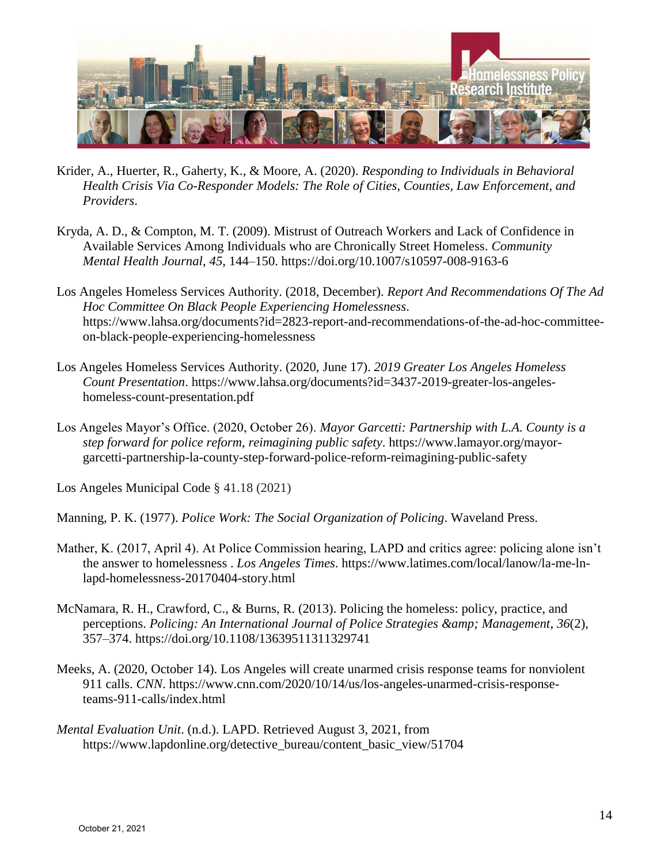

- Krider, A., Huerter, R., Gaherty, K., & Moore, A. (2020). *Responding to Individuals in Behavioral Health Crisis Via Co-Responder Models: The Role of Cities, Counties, Law Enforcement, and Providers*.
- Kryda, A. D., & Compton, M. T. (2009). Mistrust of Outreach Workers and Lack of Confidence in Available Services Among Individuals who are Chronically Street Homeless. *Community Mental Health Journal*, *45*, 144–150. https://doi.org/10.1007/s10597-008-9163-6
- Los Angeles Homeless Services Authority. (2018, December). *Report And Recommendations Of The Ad Hoc Committee On Black People Experiencing Homelessness*. https://www.lahsa.org/documents?id=2823-report-and-recommendations-of-the-ad-hoc-committeeon-black-people-experiencing-homelessness
- Los Angeles Homeless Services Authority. (2020, June 17). *2019 Greater Los Angeles Homeless Count Presentation*. https://www.lahsa.org/documents?id=3437-2019-greater-los-angeleshomeless-count-presentation.pdf
- Los Angeles Mayor's Office. (2020, October 26). *Mayor Garcetti: Partnership with L.A. County is a step forward for police reform, reimagining public safety*. https://www.lamayor.org/mayorgarcetti-partnership-la-county-step-forward-police-reform-reimagining-public-safety

Los Angeles Municipal Code § 41.18 (2021)

Manning, P. K. (1977). *Police Work: The Social Organization of Policing*. Waveland Press.

- Mather, K. (2017, April 4). At Police Commission hearing, LAPD and critics agree: policing alone isn't the answer to homelessness . *Los Angeles Times*. https://www.latimes.com/local/lanow/la-me-lnlapd-homelessness-20170404-story.html
- McNamara, R. H., Crawford, C., & Burns, R. (2013). Policing the homeless: policy, practice, and perceptions. *Policing: An International Journal of Police Strategies & amp; Management*,  $36(2)$ , 357–374. https://doi.org/10.1108/13639511311329741
- Meeks, A. (2020, October 14). Los Angeles will create unarmed crisis response teams for nonviolent 911 calls. *CNN*. https://www.cnn.com/2020/10/14/us/los-angeles-unarmed-crisis-responseteams-911-calls/index.html
- *Mental Evaluation Unit*. (n.d.). LAPD. Retrieved August 3, 2021, from https://www.lapdonline.org/detective\_bureau/content\_basic\_view/51704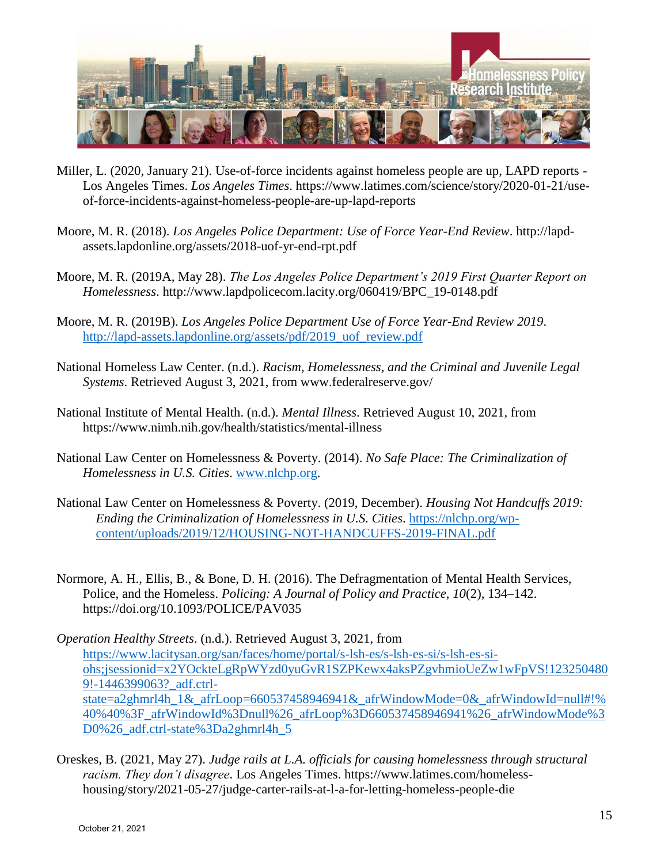

- Miller, L. (2020, January 21). Use-of-force incidents against homeless people are up, LAPD reports Los Angeles Times. *Los Angeles Times*. https://www.latimes.com/science/story/2020-01-21/useof-force-incidents-against-homeless-people-are-up-lapd-reports
- Moore, M. R. (2018). *Los Angeles Police Department: Use of Force Year-End Review*. http://lapdassets.lapdonline.org/assets/2018-uof-yr-end-rpt.pdf
- Moore, M. R. (2019A, May 28). *The Los Angeles Police Department's 2019 First Quarter Report on Homelessness*. http://www.lapdpolicecom.lacity.org/060419/BPC\_19-0148.pdf
- Moore, M. R. (2019B). *Los Angeles Police Department Use of Force Year-End Review 2019*. [http://lapd-assets.lapdonline.org/assets/pdf/2019\\_uof\\_review.pdf](http://lapd-assets.lapdonline.org/assets/pdf/2019_uof_review.pdf)
- National Homeless Law Center. (n.d.). *Racism, Homelessness, and the Criminal and Juvenile Legal Systems*. Retrieved August 3, 2021, from www.federalreserve.gov/
- National Institute of Mental Health. (n.d.). *Mental Illness*. Retrieved August 10, 2021, from https://www.nimh.nih.gov/health/statistics/mental-illness
- National Law Center on Homelessness & Poverty. (2014). *No Safe Place: The Criminalization of Homelessness in U.S. Cities*. [www.nlchp.org.](http://www.nlchp.org/)
- National Law Center on Homelessness & Poverty. (2019, December). *Housing Not Handcuffs 2019: Ending the Criminalization of Homelessness in U.S. Cities*. [https://nlchp.org/wp](https://nlchp.org/wp-content/uploads/2019/12/HOUSING-NOT-HANDCUFFS-2019-FINAL.pdf)[content/uploads/2019/12/HOUSING-NOT-HANDCUFFS-2019-FINAL.pdf](https://nlchp.org/wp-content/uploads/2019/12/HOUSING-NOT-HANDCUFFS-2019-FINAL.pdf)
- Normore, A. H., Ellis, B., & Bone, D. H. (2016). The Defragmentation of Mental Health Services, Police, and the Homeless. *Policing: A Journal of Policy and Practice*, *10*(2), 134–142. https://doi.org/10.1093/POLICE/PAV035

*Operation Healthy Streets*. (n.d.). Retrieved August 3, 2021, from [https://www.lacitysan.org/san/faces/home/portal/s-lsh-es/s-lsh-es-si/s-lsh-es-si](https://www.lacitysan.org/san/faces/home/portal/s-lsh-es/s-lsh-es-si/s-lsh-es-si-ohs;jsessionid=x2YOckteLgRpWYzd0yuGvR1SZPKewx4aksPZgvhmioUeZw1wFpVS!1232504809!-1446399063?_adf.ctrl-state=a2ghmrl4h_1&_afrLoop=660537458946941&_afrWindowMode=0&_afrWindowId=null#!%40%40%3F_afrWindowId%3Dnull%26_afrLoop%3D660537458946941%26_afrWindowMode%3D0%26_adf.ctrl-state%3Da2ghmrl4h_5)[ohs;jsessionid=x2YOckteLgRpWYzd0yuGvR1SZPKewx4aksPZgvhmioUeZw1wFpVS!123250480](https://www.lacitysan.org/san/faces/home/portal/s-lsh-es/s-lsh-es-si/s-lsh-es-si-ohs;jsessionid=x2YOckteLgRpWYzd0yuGvR1SZPKewx4aksPZgvhmioUeZw1wFpVS!1232504809!-1446399063?_adf.ctrl-state=a2ghmrl4h_1&_afrLoop=660537458946941&_afrWindowMode=0&_afrWindowId=null#!%40%40%3F_afrWindowId%3Dnull%26_afrLoop%3D660537458946941%26_afrWindowMode%3D0%26_adf.ctrl-state%3Da2ghmrl4h_5) 9!-1446399063? adf.ctrl[state=a2ghmrl4h\\_1&\\_afrLoop=660537458946941&\\_afrWindowMode=0&\\_afrWindowId=null#!%](https://www.lacitysan.org/san/faces/home/portal/s-lsh-es/s-lsh-es-si/s-lsh-es-si-ohs;jsessionid=x2YOckteLgRpWYzd0yuGvR1SZPKewx4aksPZgvhmioUeZw1wFpVS!1232504809!-1446399063?_adf.ctrl-state=a2ghmrl4h_1&_afrLoop=660537458946941&_afrWindowMode=0&_afrWindowId=null#!%40%40%3F_afrWindowId%3Dnull%26_afrLoop%3D660537458946941%26_afrWindowMode%3D0%26_adf.ctrl-state%3Da2ghmrl4h_5) [40%40%3F\\_afrWindowId%3Dnull%26\\_afrLoop%3D660537458946941%26\\_afrWindowMode%3](https://www.lacitysan.org/san/faces/home/portal/s-lsh-es/s-lsh-es-si/s-lsh-es-si-ohs;jsessionid=x2YOckteLgRpWYzd0yuGvR1SZPKewx4aksPZgvhmioUeZw1wFpVS!1232504809!-1446399063?_adf.ctrl-state=a2ghmrl4h_1&_afrLoop=660537458946941&_afrWindowMode=0&_afrWindowId=null#!%40%40%3F_afrWindowId%3Dnull%26_afrLoop%3D660537458946941%26_afrWindowMode%3D0%26_adf.ctrl-state%3Da2ghmrl4h_5) [D0%26\\_adf.ctrl-state%3Da2ghmrl4h\\_5](https://www.lacitysan.org/san/faces/home/portal/s-lsh-es/s-lsh-es-si/s-lsh-es-si-ohs;jsessionid=x2YOckteLgRpWYzd0yuGvR1SZPKewx4aksPZgvhmioUeZw1wFpVS!1232504809!-1446399063?_adf.ctrl-state=a2ghmrl4h_1&_afrLoop=660537458946941&_afrWindowMode=0&_afrWindowId=null#!%40%40%3F_afrWindowId%3Dnull%26_afrLoop%3D660537458946941%26_afrWindowMode%3D0%26_adf.ctrl-state%3Da2ghmrl4h_5)

Oreskes, B. (2021, May 27). *Judge rails at L.A. officials for causing homelessness through structural racism. They don't disagree*. Los Angeles Times. https://www.latimes.com/homelesshousing/story/2021-05-27/judge-carter-rails-at-l-a-for-letting-homeless-people-die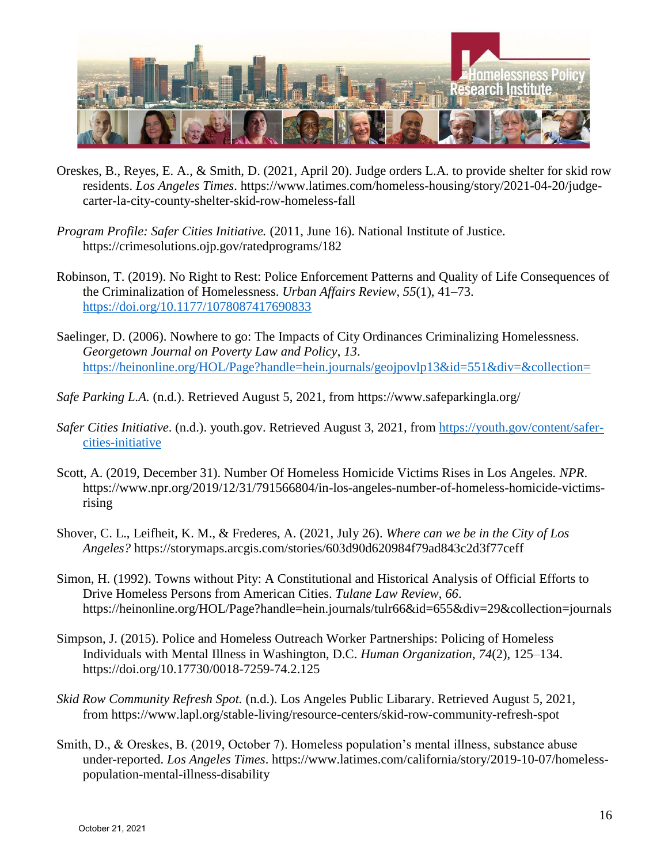

- Oreskes, B., Reyes, E. A., & Smith, D. (2021, April 20). Judge orders L.A. to provide shelter for skid row residents. *Los Angeles Times*. https://www.latimes.com/homeless-housing/story/2021-04-20/judgecarter-la-city-county-shelter-skid-row-homeless-fall
- *Program Profile: Safer Cities Initiative.* (2011, June 16). National Institute of Justice. https://crimesolutions.ojp.gov/ratedprograms/182
- Robinson, T. (2019). No Right to Rest: Police Enforcement Patterns and Quality of Life Consequences of the Criminalization of Homelessness. *Urban Affairs Review*, *55*(1), 41–73. <https://doi.org/10.1177/1078087417690833>
- Saelinger, D. (2006). Nowhere to go: The Impacts of City Ordinances Criminalizing Homelessness. *Georgetown Journal on Poverty Law and Policy*, *13*. <https://heinonline.org/HOL/Page?handle=hein.journals/geojpovlp13&id=551&div=&collection=>
- *Safe Parking L.A.* (n.d.). Retrieved August 5, 2021, from https://www.safeparkingla.org/
- *Safer Cities Initiative*. (n.d.). youth.gov. Retrieved August 3, 2021, from [https://youth.gov/content/safer](https://youth.gov/content/safer-cities-initiative)[cities-initiative](https://youth.gov/content/safer-cities-initiative)
- Scott, A. (2019, December 31). Number Of Homeless Homicide Victims Rises in Los Angeles. *NPR*. https://www.npr.org/2019/12/31/791566804/in-los-angeles-number-of-homeless-homicide-victimsrising
- Shover, C. L., Leifheit, K. M., & Frederes, A. (2021, July 26). *Where can we be in the City of Los Angeles?* https://storymaps.arcgis.com/stories/603d90d620984f79ad843c2d3f77ceff
- Simon, H. (1992). Towns without Pity: A Constitutional and Historical Analysis of Official Efforts to Drive Homeless Persons from American Cities. *Tulane Law Review*, *66*. https://heinonline.org/HOL/Page?handle=hein.journals/tulr66&id=655&div=29&collection=journals
- Simpson, J. (2015). Police and Homeless Outreach Worker Partnerships: Policing of Homeless Individuals with Mental Illness in Washington, D.C. *Human Organization*, *74*(2), 125–134. https://doi.org/10.17730/0018-7259-74.2.125
- *Skid Row Community Refresh Spot.* (n.d.). Los Angeles Public Libarary. Retrieved August 5, 2021, from https://www.lapl.org/stable-living/resource-centers/skid-row-community-refresh-spot
- Smith, D., & Oreskes, B. (2019, October 7). Homeless population's mental illness, substance abuse under-reported. *Los Angeles Times*. https://www.latimes.com/california/story/2019-10-07/homelesspopulation-mental-illness-disability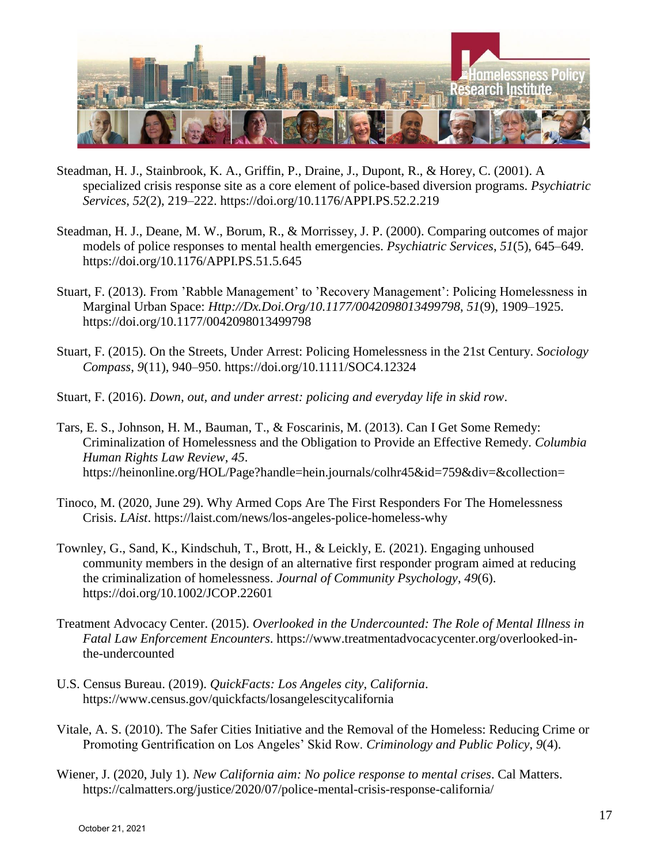

- Steadman, H. J., Stainbrook, K. A., Griffin, P., Draine, J., Dupont, R., & Horey, C. (2001). A specialized crisis response site as a core element of police-based diversion programs. *Psychiatric Services*, *52*(2), 219–222. https://doi.org/10.1176/APPI.PS.52.2.219
- Steadman, H. J., Deane, M. W., Borum, R., & Morrissey, J. P. (2000). Comparing outcomes of major models of police responses to mental health emergencies. *Psychiatric Services*, *51*(5), 645–649. https://doi.org/10.1176/APPI.PS.51.5.645
- Stuart, F. (2013). From 'Rabble Management' to 'Recovery Management': Policing Homelessness in Marginal Urban Space: *Http://Dx.Doi.Org/10.1177/0042098013499798*, *51*(9), 1909–1925. https://doi.org/10.1177/0042098013499798
- Stuart, F. (2015). On the Streets, Under Arrest: Policing Homelessness in the 21st Century. *Sociology Compass*, *9*(11), 940–950. https://doi.org/10.1111/SOC4.12324
- Stuart, F. (2016). *Down, out, and under arrest: policing and everyday life in skid row*.
- Tars, E. S., Johnson, H. M., Bauman, T., & Foscarinis, M. (2013). Can I Get Some Remedy: Criminalization of Homelessness and the Obligation to Provide an Effective Remedy. *Columbia Human Rights Law Review*, *45*. https://heinonline.org/HOL/Page?handle=hein.journals/colhr45&id=759&div=&collection=
- Tinoco, M. (2020, June 29). Why Armed Cops Are The First Responders For The Homelessness Crisis. *LAist*. https://laist.com/news/los-angeles-police-homeless-why
- Townley, G., Sand, K., Kindschuh, T., Brott, H., & Leickly, E. (2021). Engaging unhoused community members in the design of an alternative first responder program aimed at reducing the criminalization of homelessness. *Journal of Community Psychology*, *49*(6). https://doi.org/10.1002/JCOP.22601
- Treatment Advocacy Center. (2015). *Overlooked in the Undercounted: The Role of Mental Illness in Fatal Law Enforcement Encounters*. https://www.treatmentadvocacycenter.org/overlooked-inthe-undercounted
- U.S. Census Bureau. (2019). *QuickFacts: Los Angeles city, California*. https://www.census.gov/quickfacts/losangelescitycalifornia
- Vitale, A. S. (2010). The Safer Cities Initiative and the Removal of the Homeless: Reducing Crime or Promoting Gentrification on Los Angeles' Skid Row. *Criminology and Public Policy*, *9*(4).
- Wiener, J. (2020, July 1). *New California aim: No police response to mental crises*. Cal Matters. https://calmatters.org/justice/2020/07/police-mental-crisis-response-california/